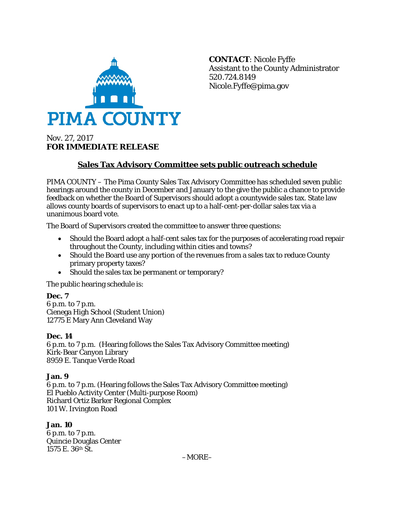

**CONTACT**: Nicole Fyffe Assistant to the County Administrator 520.724.8149 Nicole.Fyffe@pima.gov

# Nov. 27, 2017 **FOR IMMEDIATE RELEASE**

## **Sales Tax Advisory Committee sets public outreach schedule**

PIMA COUNTY – The Pima County Sales Tax Advisory Committee has scheduled seven public hearings around the county in December and January to the give the public a chance to provide feedback on whether the Board of Supervisors should adopt a countywide sales tax. State law allows county boards of supervisors to enact up to a half-cent-per-dollar sales tax via a unanimous board vote.

The Board of Supervisors created the committee to answer three questions:

- Should the Board adopt a half-cent sales tax for the purposes of accelerating road repair throughout the County, including within cities and towns?
- Should the Board use any portion of the revenues from a sales tax to reduce County primary property taxes?
- Should the sales tax be permanent or temporary?

The public hearing schedule is:

**Dec. 7** 6 p.m. to 7 p.m. Cienega High School (Student Union) 12775 E Mary Ann Cleveland Way

### **Dec. 14**

6 p.m. to 7 p.m. (Hearing follows the Sales Tax Advisory Committee meeting) Kirk-Bear Canyon Library 8959 E. Tanque Verde Road

### **Jan. 9**

6 p.m. to 7 p.m. (Hearing follows the Sales Tax Advisory Committee meeting) El Pueblo Activity Center (Multi-purpose Room) Richard Ortiz Barker Regional Complex 101 W. Irvington Road

### **Jan. 10**

6 p.m. to 7 p.m. Quincie Douglas Center 1575 E. 36th St.

–MORE–